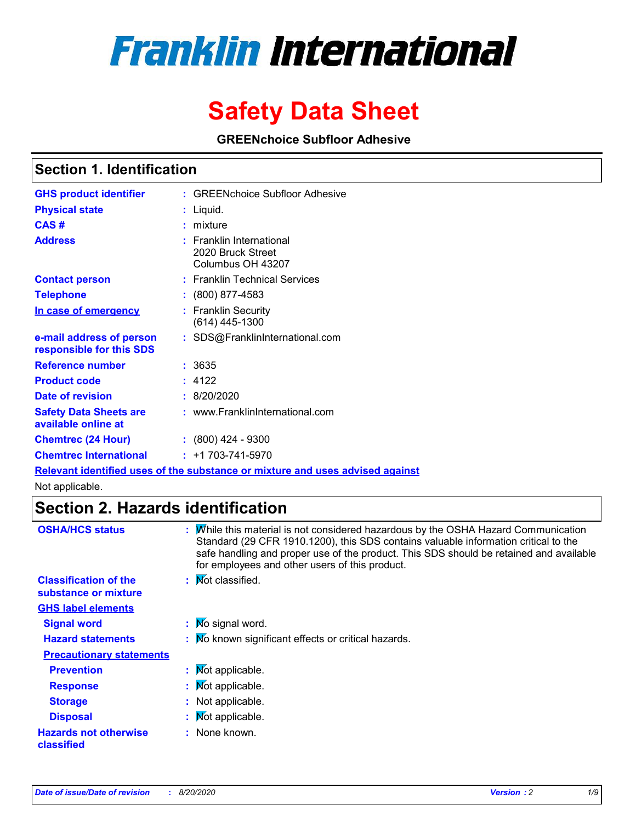# **Franklin International**

## **Safety Data Sheet**

**GREENchoice Subfloor Adhesive**

### **Section 1. Identification**

| <b>GHS product identifier</b>                        | : GREENchoice Subfloor Adhesive                                                      |
|------------------------------------------------------|--------------------------------------------------------------------------------------|
| <b>Physical state</b>                                | : Liquid.                                                                            |
| CAS#                                                 | : mixture                                                                            |
| <b>Address</b>                                       | $:$ Franklin International<br>2020 Bruck Street<br>Columbus OH 43207                 |
| <b>Contact person</b>                                | : Franklin Technical Services                                                        |
| <b>Telephone</b>                                     | $: (800) 877-4583$                                                                   |
| In case of emergency                                 | : Franklin Security<br>$(614)$ 445-1300                                              |
| e-mail address of person<br>responsible for this SDS | : SDS@FranklinInternational.com                                                      |
| <b>Reference number</b>                              | : 3635                                                                               |
| <b>Product code</b>                                  | : 4122                                                                               |
| Date of revision                                     | : 8/20/2020                                                                          |
| <b>Safety Data Sheets are</b><br>available online at | : www.FranklinInternational.com                                                      |
| <b>Chemtrec (24 Hour)</b>                            | $\div$ (800) 424 - 9300                                                              |
| <b>Chemtrec International</b>                        | $: +1703 - 741 - 5970$                                                               |
|                                                      | <u>Relevant identified uses of the substance or mixture and uses advised against</u> |

Not applicable.

### **Section 2. Hazards identification**

| <b>OSHA/HCS status</b>                               | : Mille this material is not considered hazardous by the OSHA Hazard Communication<br>Standard (29 CFR 1910.1200), this SDS contains valuable information critical to the<br>safe handling and proper use of the product. This SDS should be retained and available<br>for employees and other users of this product. |
|------------------------------------------------------|-----------------------------------------------------------------------------------------------------------------------------------------------------------------------------------------------------------------------------------------------------------------------------------------------------------------------|
| <b>Classification of the</b><br>substance or mixture | : Mot classified.                                                                                                                                                                                                                                                                                                     |
| <b>GHS label elements</b>                            |                                                                                                                                                                                                                                                                                                                       |
| <b>Signal word</b>                                   | : Mo signal word.                                                                                                                                                                                                                                                                                                     |
| <b>Hazard statements</b>                             | : Mo known significant effects or critical hazards.                                                                                                                                                                                                                                                                   |
| <b>Precautionary statements</b>                      |                                                                                                                                                                                                                                                                                                                       |
| <b>Prevention</b>                                    | : Mot applicable.                                                                                                                                                                                                                                                                                                     |
| <b>Response</b>                                      | : Mot applicable.                                                                                                                                                                                                                                                                                                     |
| <b>Storage</b>                                       | : Not applicable.                                                                                                                                                                                                                                                                                                     |
| <b>Disposal</b>                                      | : Mot applicable.                                                                                                                                                                                                                                                                                                     |
| <b>Hazards not otherwise</b><br>classified           | : None known.                                                                                                                                                                                                                                                                                                         |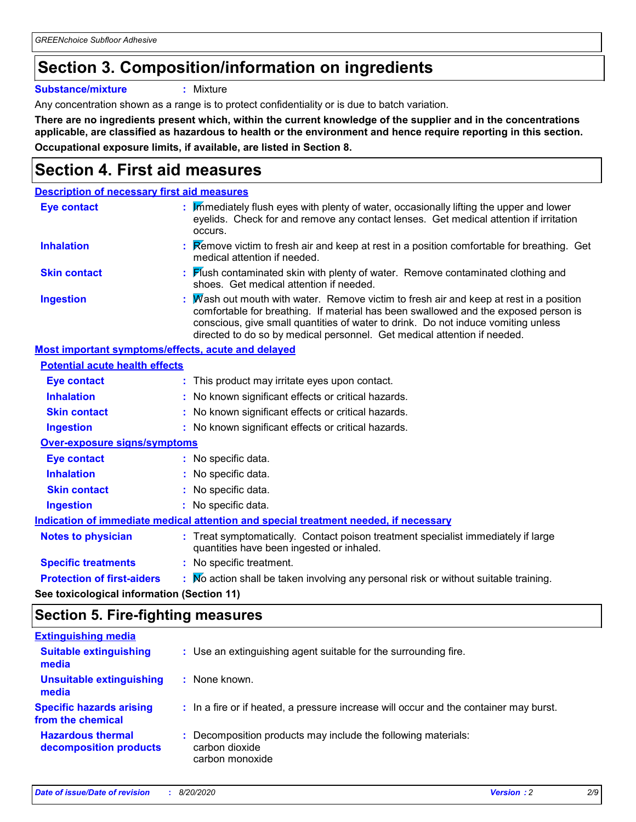### **Section 3. Composition/information on ingredients**

**Substance/mixture :** Mixture

Any concentration shown as a range is to protect confidentiality or is due to batch variation.

**There are no ingredients present which, within the current knowledge of the supplier and in the concentrations applicable, are classified as hazardous to health or the environment and hence require reporting in this section. Occupational exposure limits, if available, are listed in Section 8.**

### **Section 4. First aid measures**

| <b>Description of necessary first aid measures</b> |                                                                                                                                                                                                                                                                                                                                              |
|----------------------------------------------------|----------------------------------------------------------------------------------------------------------------------------------------------------------------------------------------------------------------------------------------------------------------------------------------------------------------------------------------------|
| <b>Eye contact</b>                                 | : Immediately flush eyes with plenty of water, occasionally lifting the upper and lower<br>eyelids. Check for and remove any contact lenses. Get medical attention if irritation<br>occurs.                                                                                                                                                  |
| <b>Inhalation</b>                                  | Remove victim to fresh air and keep at rest in a position comfortable for breathing. Get<br>medical attention if needed.                                                                                                                                                                                                                     |
| <b>Skin contact</b>                                | : Flush contaminated skin with plenty of water. Remove contaminated clothing and<br>shoes. Get medical attention if needed.                                                                                                                                                                                                                  |
| <b>Ingestion</b>                                   | Mash out mouth with water. Remove victim to fresh air and keep at rest in a position<br>comfortable for breathing. If material has been swallowed and the exposed person is<br>conscious, give small quantities of water to drink. Do not induce vomiting unless<br>directed to do so by medical personnel. Get medical attention if needed. |
| Most important symptoms/effects, acute and delayed |                                                                                                                                                                                                                                                                                                                                              |
| <b>Potential acute health effects</b>              |                                                                                                                                                                                                                                                                                                                                              |
| <b>Eye contact</b>                                 | : This product may irritate eyes upon contact.                                                                                                                                                                                                                                                                                               |
| <b>Inhalation</b>                                  | : No known significant effects or critical hazards.                                                                                                                                                                                                                                                                                          |
| <b>Skin contact</b>                                | : No known significant effects or critical hazards.                                                                                                                                                                                                                                                                                          |
| <b>Ingestion</b>                                   | : No known significant effects or critical hazards.                                                                                                                                                                                                                                                                                          |
| <b>Over-exposure signs/symptoms</b>                |                                                                                                                                                                                                                                                                                                                                              |
| <b>Eye contact</b>                                 | : No specific data.                                                                                                                                                                                                                                                                                                                          |
| <b>Inhalation</b>                                  | : No specific data.                                                                                                                                                                                                                                                                                                                          |
| <b>Skin contact</b>                                | No specific data.                                                                                                                                                                                                                                                                                                                            |
| <b>Ingestion</b>                                   | : No specific data.                                                                                                                                                                                                                                                                                                                          |
|                                                    | Indication of immediate medical attention and special treatment needed, if necessary                                                                                                                                                                                                                                                         |
| <b>Notes to physician</b>                          | : Treat symptomatically. Contact poison treatment specialist immediately if large<br>quantities have been ingested or inhaled.                                                                                                                                                                                                               |
| <b>Specific treatments</b>                         | : No specific treatment.                                                                                                                                                                                                                                                                                                                     |
| <b>Protection of first-aiders</b>                  | : Mo action shall be taken involving any personal risk or without suitable training.                                                                                                                                                                                                                                                         |
|                                                    |                                                                                                                                                                                                                                                                                                                                              |

**See toxicological information (Section 11)**

### **Section 5. Fire-fighting measures**

| : Use an extinguishing agent suitable for the surrounding fire.                                    |
|----------------------------------------------------------------------------------------------------|
| : None known.                                                                                      |
| : In a fire or if heated, a pressure increase will occur and the container may burst.              |
| : Decomposition products may include the following materials:<br>carbon dioxide<br>carbon monoxide |
|                                                                                                    |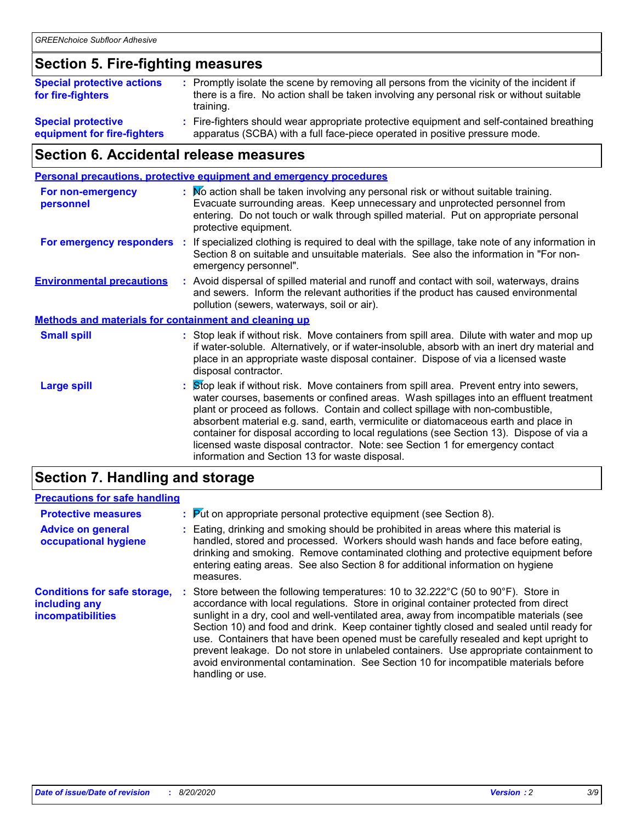### **Section 5. Fire-fighting measures**

| <b>Special protective actions</b><br>for fire-fighters | : Promptly isolate the scene by removing all persons from the vicinity of the incident if<br>there is a fire. No action shall be taken involving any personal risk or without suitable<br>training. |
|--------------------------------------------------------|-----------------------------------------------------------------------------------------------------------------------------------------------------------------------------------------------------|
| <b>Special protective</b>                              | Fire-fighters should wear appropriate protective equipment and self-contained breathing                                                                                                             |
| equipment for fire-fighters                            | apparatus (SCBA) with a full face-piece operated in positive pressure mode.                                                                                                                         |

### **Section 6. Accidental release measures**

|                                                              |    | <b>Personal precautions, protective equipment and emergency procedures</b>                                                                                                                                                                                                                                                                                                                                                                                                                                                                                                               |  |  |
|--------------------------------------------------------------|----|------------------------------------------------------------------------------------------------------------------------------------------------------------------------------------------------------------------------------------------------------------------------------------------------------------------------------------------------------------------------------------------------------------------------------------------------------------------------------------------------------------------------------------------------------------------------------------------|--|--|
| <b>For non-emergency</b><br>personnel                        |    | : Mo action shall be taken involving any personal risk or without suitable training.<br>Evacuate surrounding areas. Keep unnecessary and unprotected personnel from<br>entering. Do not touch or walk through spilled material. Put on appropriate personal<br>protective equipment.                                                                                                                                                                                                                                                                                                     |  |  |
| For emergency responders                                     | ÷. | If specialized clothing is required to deal with the spillage, take note of any information in<br>Section 8 on suitable and unsuitable materials. See also the information in "For non-<br>emergency personnel".                                                                                                                                                                                                                                                                                                                                                                         |  |  |
| <b>Environmental precautions</b>                             |    | : Avoid dispersal of spilled material and runoff and contact with soil, waterways, drains<br>and sewers. Inform the relevant authorities if the product has caused environmental<br>pollution (sewers, waterways, soil or air).                                                                                                                                                                                                                                                                                                                                                          |  |  |
| <b>Methods and materials for containment and cleaning up</b> |    |                                                                                                                                                                                                                                                                                                                                                                                                                                                                                                                                                                                          |  |  |
| <b>Small spill</b>                                           |    | : Stop leak if without risk. Move containers from spill area. Dilute with water and mop up<br>if water-soluble. Alternatively, or if water-insoluble, absorb with an inert dry material and<br>place in an appropriate waste disposal container. Dispose of via a licensed waste<br>disposal contractor.                                                                                                                                                                                                                                                                                 |  |  |
| <b>Large spill</b>                                           |    | Stop leak if without risk. Move containers from spill area. Prevent entry into sewers,<br>water courses, basements or confined areas. Wash spillages into an effluent treatment<br>plant or proceed as follows. Contain and collect spillage with non-combustible,<br>absorbent material e.g. sand, earth, vermiculite or diatomaceous earth and place in<br>container for disposal according to local regulations (see Section 13). Dispose of via a<br>licensed waste disposal contractor. Note: see Section 1 for emergency contact<br>information and Section 13 for waste disposal. |  |  |
|                                                              |    |                                                                                                                                                                                                                                                                                                                                                                                                                                                                                                                                                                                          |  |  |

### **Section 7. Handling and storage**

| <b>Precautions for safe handling</b>                                      |                                                                                                                                                                                                                                                                                                                                                                                                                                                                                                                                                                                                                                                              |
|---------------------------------------------------------------------------|--------------------------------------------------------------------------------------------------------------------------------------------------------------------------------------------------------------------------------------------------------------------------------------------------------------------------------------------------------------------------------------------------------------------------------------------------------------------------------------------------------------------------------------------------------------------------------------------------------------------------------------------------------------|
| <b>Protective measures</b>                                                | : Put on appropriate personal protective equipment (see Section 8).                                                                                                                                                                                                                                                                                                                                                                                                                                                                                                                                                                                          |
| <b>Advice on general</b><br>occupational hygiene                          | : Eating, drinking and smoking should be prohibited in areas where this material is<br>handled, stored and processed. Workers should wash hands and face before eating,<br>drinking and smoking. Remove contaminated clothing and protective equipment before<br>entering eating areas. See also Section 8 for additional information on hygiene<br>measures.                                                                                                                                                                                                                                                                                                |
| <b>Conditions for safe storage,</b><br>including any<br>incompatibilities | : Store between the following temperatures: 10 to 32.222°C (50 to 90°F). Store in<br>accordance with local regulations. Store in original container protected from direct<br>sunlight in a dry, cool and well-ventilated area, away from incompatible materials (see<br>Section 10) and food and drink. Keep container tightly closed and sealed until ready for<br>use. Containers that have been opened must be carefully resealed and kept upright to<br>prevent leakage. Do not store in unlabeled containers. Use appropriate containment to<br>avoid environmental contamination. See Section 10 for incompatible materials before<br>handling or use. |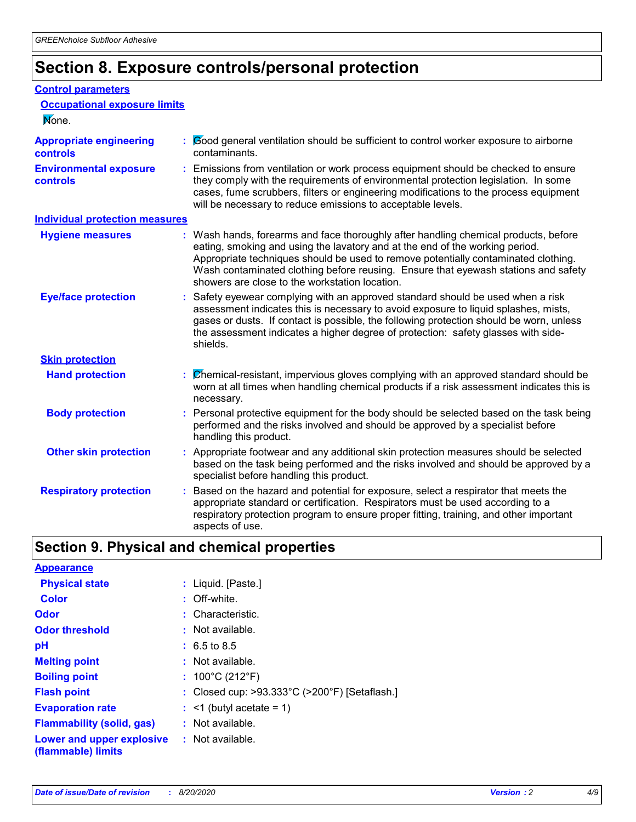### **Section 8. Exposure controls/personal protection**

#### **Control parameters**

| <b>Occupational exposure limits</b><br>None.      |                                                                                                                                                                                                                                                                                                                                                                                                   |  |  |
|---------------------------------------------------|---------------------------------------------------------------------------------------------------------------------------------------------------------------------------------------------------------------------------------------------------------------------------------------------------------------------------------------------------------------------------------------------------|--|--|
| <b>Appropriate engineering</b><br><b>controls</b> | : Cood general ventilation should be sufficient to control worker exposure to airborne<br>contaminants.                                                                                                                                                                                                                                                                                           |  |  |
| <b>Environmental exposure</b><br><b>controls</b>  | : Emissions from ventilation or work process equipment should be checked to ensure<br>they comply with the requirements of environmental protection legislation. In some<br>cases, fume scrubbers, filters or engineering modifications to the process equipment<br>will be necessary to reduce emissions to acceptable levels.                                                                   |  |  |
| <b>Individual protection measures</b>             |                                                                                                                                                                                                                                                                                                                                                                                                   |  |  |
| <b>Hygiene measures</b>                           | : Wash hands, forearms and face thoroughly after handling chemical products, before<br>eating, smoking and using the lavatory and at the end of the working period.<br>Appropriate techniques should be used to remove potentially contaminated clothing.<br>Wash contaminated clothing before reusing. Ensure that eyewash stations and safety<br>showers are close to the workstation location. |  |  |
| <b>Eye/face protection</b>                        | : Safety eyewear complying with an approved standard should be used when a risk<br>assessment indicates this is necessary to avoid exposure to liquid splashes, mists,<br>gases or dusts. If contact is possible, the following protection should be worn, unless<br>the assessment indicates a higher degree of protection: safety glasses with side-<br>shields.                                |  |  |
| <b>Skin protection</b>                            |                                                                                                                                                                                                                                                                                                                                                                                                   |  |  |
| <b>Hand protection</b>                            | : Chemical-resistant, impervious gloves complying with an approved standard should be<br>worn at all times when handling chemical products if a risk assessment indicates this is<br>necessary.                                                                                                                                                                                                   |  |  |
| <b>Body protection</b>                            | : Personal protective equipment for the body should be selected based on the task being<br>performed and the risks involved and should be approved by a specialist before<br>handling this product.                                                                                                                                                                                               |  |  |
| <b>Other skin protection</b>                      | : Appropriate footwear and any additional skin protection measures should be selected<br>based on the task being performed and the risks involved and should be approved by a<br>specialist before handling this product.                                                                                                                                                                         |  |  |
| <b>Respiratory protection</b>                     | Based on the hazard and potential for exposure, select a respirator that meets the<br>appropriate standard or certification. Respirators must be used according to a<br>respiratory protection program to ensure proper fitting, training, and other important<br>aspects of use.                                                                                                                 |  |  |

### **Section 9. Physical and chemical properties**

| <b>Appearance</b>                                                       |                                               |
|-------------------------------------------------------------------------|-----------------------------------------------|
| <b>Physical state</b>                                                   | : Liquid. [Paste.]                            |
| <b>Color</b>                                                            | : Off-white.                                  |
| Odor                                                                    | : Characteristic.                             |
| <b>Odor threshold</b>                                                   | : Not available.                              |
| рH                                                                      | $: 6.5 \text{ to } 8.5$                       |
| <b>Melting point</b>                                                    | $:$ Not available.                            |
| <b>Boiling point</b>                                                    | : $100^{\circ}$ C (212 $^{\circ}$ F)          |
| <b>Flash point</b>                                                      | : Closed cup: >93.333°C (>200°F) [Setaflash.] |
| <b>Evaporation rate</b>                                                 | $:$ <1 (butyl acetate = 1)                    |
| <b>Flammability (solid, gas)</b>                                        | : Not available.                              |
| <b>Lower and upper explosive : Not available.</b><br>(flammable) limits |                                               |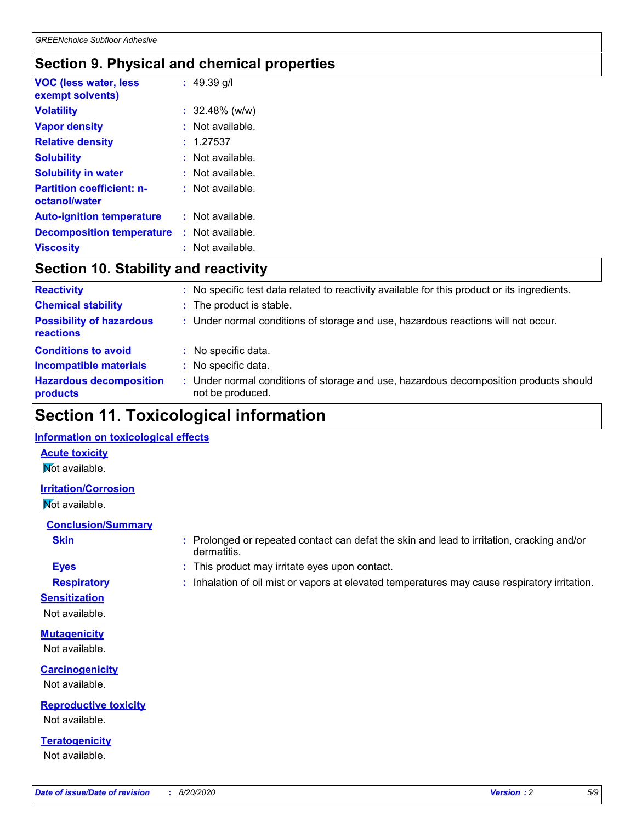### **Section 9. Physical and chemical properties**

| <b>VOC (less water, less</b><br>exempt solvents)  | : $49.39$ g/l      |
|---------------------------------------------------|--------------------|
| <b>Volatility</b>                                 | : 32.48% (w/w)     |
| <b>Vapor density</b>                              | : Not available.   |
| <b>Relative density</b>                           | : 1.27537          |
| <b>Solubility</b>                                 | : Not available.   |
| <b>Solubility in water</b>                        | : Not available.   |
| <b>Partition coefficient: n-</b><br>octanol/water | $:$ Not available. |
| <b>Auto-ignition temperature</b>                  | : Not available.   |
| <b>Decomposition temperature</b>                  | : Not available.   |
| <b>Viscosity</b>                                  | : Not available.   |

### **Section 10. Stability and reactivity**

| <b>Reactivity</b>                            |   | : No specific test data related to reactivity available for this product or its ingredients.            |
|----------------------------------------------|---|---------------------------------------------------------------------------------------------------------|
| <b>Chemical stability</b>                    |   | : The product is stable.                                                                                |
| <b>Possibility of hazardous</b><br>reactions |   | : Under normal conditions of storage and use, hazardous reactions will not occur.                       |
| <b>Conditions to avoid</b>                   | ÷ | No specific data.                                                                                       |
| <b>Incompatible materials</b>                |   | No specific data.                                                                                       |
| <b>Hazardous decomposition</b><br>products   |   | Under normal conditions of storage and use, hazardous decomposition products should<br>not be produced. |

### **Section 11. Toxicological information**

#### **Information on toxicological effects**

#### **Acute toxicity Not available.**

#### **Irritation/Corrosion**

Not available.

### **Conclusion/Summary**

- 
- **Sensitization**

Not available.

### **Mutagenicity**

Not available.

#### **Carcinogenicity** Not available.

**Reproductive toxicity** Not available.

#### **Teratogenicity** Not available.

**Skin Example 3 :** Prolonged or repeated contact can defat the skin and lead to irritation, cracking and/or dermatitis.

- **Eyes :** This product may irritate eyes upon contact.
- **Respiratory :** Inhalation of oil mist or vapors at elevated temperatures may cause respiratory irritation.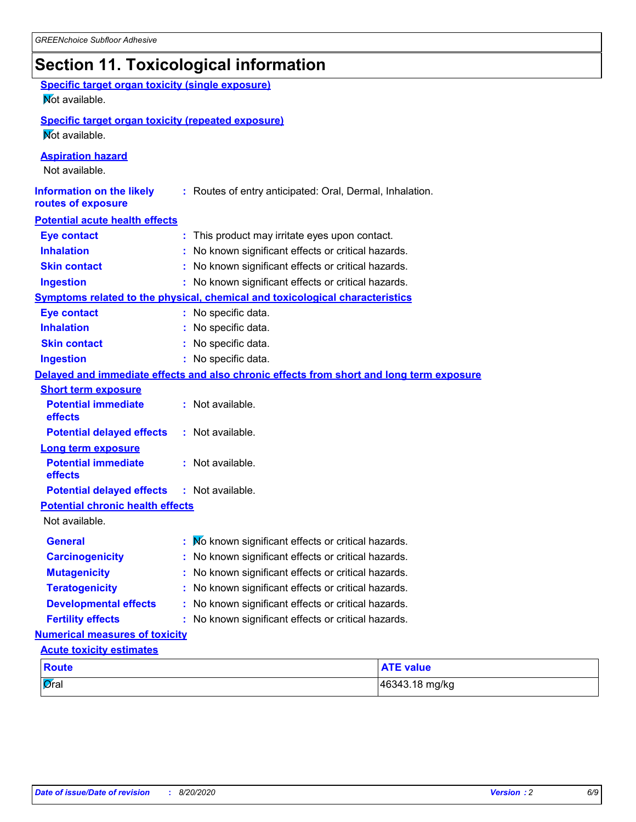### **Section 11. Toxicological information**

| <b>Specific target organ toxicity (single exposure)</b><br><b>Not</b> available. |                                                                                          |                  |
|----------------------------------------------------------------------------------|------------------------------------------------------------------------------------------|------------------|
| <b>Specific target organ toxicity (repeated exposure)</b><br>Mot available.      |                                                                                          |                  |
| <b>Aspiration hazard</b><br>Not available.                                       |                                                                                          |                  |
| <b>Information on the likely</b><br>routes of exposure                           | : Routes of entry anticipated: Oral, Dermal, Inhalation.                                 |                  |
| <b>Potential acute health effects</b>                                            |                                                                                          |                  |
| <b>Eye contact</b>                                                               | : This product may irritate eyes upon contact.                                           |                  |
| <b>Inhalation</b>                                                                | : No known significant effects or critical hazards.                                      |                  |
| <b>Skin contact</b>                                                              | : No known significant effects or critical hazards.                                      |                  |
| <b>Ingestion</b>                                                                 | : No known significant effects or critical hazards.                                      |                  |
|                                                                                  | <b>Symptoms related to the physical, chemical and toxicological characteristics</b>      |                  |
| <b>Eye contact</b>                                                               | : No specific data.                                                                      |                  |
| <b>Inhalation</b>                                                                | No specific data.                                                                        |                  |
| <b>Skin contact</b>                                                              | No specific data.                                                                        |                  |
| <b>Ingestion</b>                                                                 | : No specific data.                                                                      |                  |
|                                                                                  | Delayed and immediate effects and also chronic effects from short and long term exposure |                  |
| <b>Short term exposure</b>                                                       |                                                                                          |                  |
| <b>Potential immediate</b><br>effects                                            | : Not available.                                                                         |                  |
| <b>Potential delayed effects</b>                                                 | : Not available.                                                                         |                  |
| <b>Long term exposure</b>                                                        |                                                                                          |                  |
| <b>Potential immediate</b><br>effects                                            | : Not available.                                                                         |                  |
| <b>Potential delayed effects</b>                                                 | : Not available.                                                                         |                  |
| <b>Potential chronic health effects</b>                                          |                                                                                          |                  |
| Not available.                                                                   |                                                                                          |                  |
| <b>General</b>                                                                   | No known significant effects or critical hazards.                                        |                  |
| <b>Carcinogenicity</b>                                                           | : No known significant effects or critical hazards.                                      |                  |
| <b>Mutagenicity</b>                                                              | No known significant effects or critical hazards.                                        |                  |
| <b>Teratogenicity</b>                                                            | No known significant effects or critical hazards.                                        |                  |
| <b>Developmental effects</b>                                                     | No known significant effects or critical hazards.                                        |                  |
| <b>Fertility effects</b>                                                         | : No known significant effects or critical hazards.                                      |                  |
| <b>Numerical measures of toxicity</b>                                            |                                                                                          |                  |
| <b>Acute toxicity estimates</b>                                                  |                                                                                          |                  |
| <b>Route</b>                                                                     |                                                                                          | <b>ATE value</b> |
| Øral                                                                             |                                                                                          | 46343.18 mg/kg   |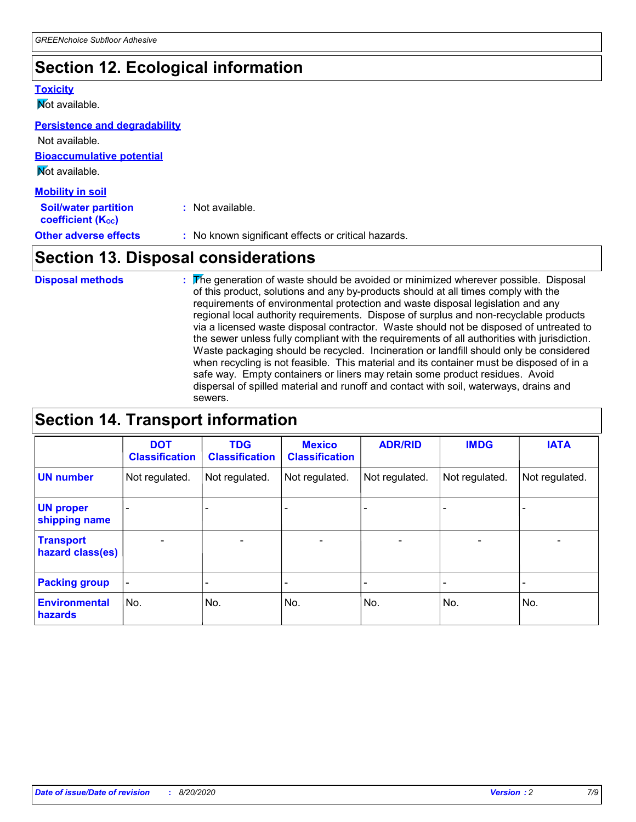### **Section 12. Ecological information**

#### **Toxicity**

**Not available.** 

#### **Persistence and degradability**

| <b>Other adverse effects</b>                            | : No known significant effects or critical hazards. |
|---------------------------------------------------------|-----------------------------------------------------|
| <b>Soil/water partition</b><br><b>coefficient (Koc)</b> | : Not available.                                    |
| <b>Mobility in soil</b>                                 |                                                     |
| Not available.                                          |                                                     |
| <b>Bioaccumulative potential</b>                        |                                                     |
| Not available.                                          |                                                     |

### **Section 13. Disposal considerations**

The generation of waste should be avoided or minimized wherever possible. Disposal of this product, solutions and any by-products should at all times comply with the requirements of environmental protection and waste disposal legislation and any regional local authority requirements. Dispose of surplus and non-recyclable products via a licensed waste disposal contractor. Waste should not be disposed of untreated to the sewer unless fully compliant with the requirements of all authorities with jurisdiction. Waste packaging should be recycled. Incineration or landfill should only be considered when recycling is not feasible. This material and its container must be disposed of in a safe way. Empty containers or liners may retain some product residues. Avoid dispersal of spilled material and runoff and contact with soil, waterways, drains and sewers. **Disposal methods :**

### **Section 14. Transport information**

|                                      | <b>DOT</b><br><b>Classification</b> | <b>TDG</b><br><b>Classification</b> | <b>Mexico</b><br><b>Classification</b> | <b>ADR/RID</b>               | <b>IMDG</b>              | <b>IATA</b>              |
|--------------------------------------|-------------------------------------|-------------------------------------|----------------------------------------|------------------------------|--------------------------|--------------------------|
| <b>UN number</b>                     | Not regulated.                      | Not regulated.                      | Not regulated.                         | Not regulated.               | Not regulated.           | Not regulated.           |
| <b>UN proper</b><br>shipping name    |                                     |                                     |                                        |                              |                          |                          |
| <b>Transport</b><br>hazard class(es) | $\overline{\phantom{m}}$            | $\overline{\phantom{0}}$            | $\qquad \qquad$                        | $\qquad \qquad \blacksquare$ | $\overline{\phantom{0}}$ | $\overline{\phantom{0}}$ |
| <b>Packing group</b>                 | $\overline{\phantom{a}}$            | -                                   |                                        | -                            |                          | -                        |
| <b>Environmental</b><br>hazards      | No.                                 | No.                                 | No.                                    | No.                          | No.                      | No.                      |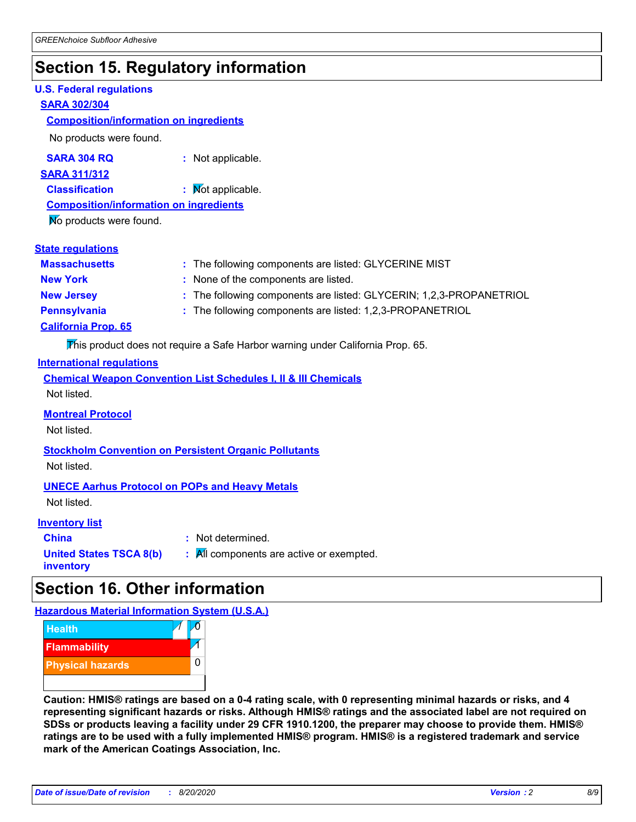### **Section 15. Regulatory information**

#### **U.S. Federal regulations**

#### **SARA 302/304**

#### **Composition/information on ingredients**

No products were found.

**SARA 304 RQ :** Not applicable.

**SARA 311/312**

**Classification :** Not applicable.

**Composition/information on ingredients**

No products were found.

| <b>State regulations</b>   |                                                                     |
|----------------------------|---------------------------------------------------------------------|
| <b>Massachusetts</b>       | : The following components are listed: GLYCERINE MIST               |
| <b>New York</b>            | : None of the components are listed.                                |
| <b>New Jersey</b>          | : The following components are listed: GLYCERIN; 1,2,3-PROPANETRIOL |
| <b>Pennsylvania</b>        | : The following components are listed: 1,2,3-PROPANETRIOL           |
| <b>California Prop. 65</b> |                                                                     |
|                            |                                                                     |

This product does not require a Safe Harbor warning under California Prop. 65.

#### **International regulations**

|             |  |  | <b>Chemical Weapon Convention List Schedules I, II &amp; III Chemicals</b> |  |
|-------------|--|--|----------------------------------------------------------------------------|--|
| Not listed. |  |  |                                                                            |  |

#### **Montreal Protocol**

Not listed.

**Stockholm Convention on Persistent Organic Pollutants** Not listed.

**UNECE Aarhus Protocol on POPs and Heavy Metals**

Not listed.

#### **Inventory list**

**China :** Not determined. **United States TSCA 8(b) inventory :** All components are active or exempted.

### **Section 16. Other information**

**Hazardous Material Information System (U.S.A.)**



**Caution: HMIS® ratings are based on a 0-4 rating scale, with 0 representing minimal hazards or risks, and 4 representing significant hazards or risks. Although HMIS® ratings and the associated label are not required on SDSs or products leaving a facility under 29 CFR 1910.1200, the preparer may choose to provide them. HMIS® ratings are to be used with a fully implemented HMIS® program. HMIS® is a registered trademark and service mark of the American Coatings Association, Inc.**